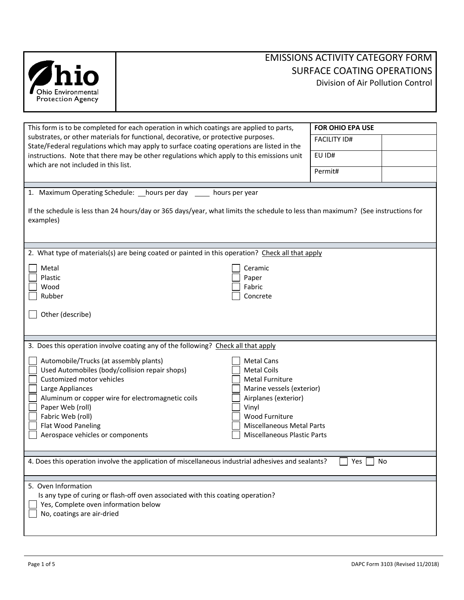

| This form is to be completed for each operation in which coatings are applied to parts,                                                                                                                                                                                                                                                                                                                                                                                                                                                 | <b>FOR OHIO EPA USE</b> |  |  |  |
|-----------------------------------------------------------------------------------------------------------------------------------------------------------------------------------------------------------------------------------------------------------------------------------------------------------------------------------------------------------------------------------------------------------------------------------------------------------------------------------------------------------------------------------------|-------------------------|--|--|--|
| substrates, or other materials for functional, decorative, or protective purposes.<br>State/Federal regulations which may apply to surface coating operations are listed in the                                                                                                                                                                                                                                                                                                                                                         | <b>FACILITY ID#</b>     |  |  |  |
| instructions. Note that there may be other regulations which apply to this emissions unit<br>which are not included in this list.                                                                                                                                                                                                                                                                                                                                                                                                       | EU ID#                  |  |  |  |
|                                                                                                                                                                                                                                                                                                                                                                                                                                                                                                                                         | Permit#                 |  |  |  |
|                                                                                                                                                                                                                                                                                                                                                                                                                                                                                                                                         |                         |  |  |  |
| 1. Maximum Operating Schedule: hours per day<br>hours per year<br>If the schedule is less than 24 hours/day or 365 days/year, what limits the schedule to less than maximum? (See instructions for<br>examples)                                                                                                                                                                                                                                                                                                                         |                         |  |  |  |
|                                                                                                                                                                                                                                                                                                                                                                                                                                                                                                                                         |                         |  |  |  |
|                                                                                                                                                                                                                                                                                                                                                                                                                                                                                                                                         |                         |  |  |  |
| 2. What type of materials(s) are being coated or painted in this operation? Check all that apply                                                                                                                                                                                                                                                                                                                                                                                                                                        |                         |  |  |  |
| Metal<br>Ceramic                                                                                                                                                                                                                                                                                                                                                                                                                                                                                                                        |                         |  |  |  |
| Plastic<br>Paper                                                                                                                                                                                                                                                                                                                                                                                                                                                                                                                        |                         |  |  |  |
| Wood<br>Fabric                                                                                                                                                                                                                                                                                                                                                                                                                                                                                                                          |                         |  |  |  |
| Rubber<br>Concrete                                                                                                                                                                                                                                                                                                                                                                                                                                                                                                                      |                         |  |  |  |
| Other (describe)                                                                                                                                                                                                                                                                                                                                                                                                                                                                                                                        |                         |  |  |  |
|                                                                                                                                                                                                                                                                                                                                                                                                                                                                                                                                         |                         |  |  |  |
| 3. Does this operation involve coating any of the following? Check all that apply                                                                                                                                                                                                                                                                                                                                                                                                                                                       |                         |  |  |  |
| Automobile/Trucks (at assembly plants)<br><b>Metal Cans</b><br>Used Automobiles (body/collision repair shops)<br><b>Metal Coils</b><br>Customized motor vehicles<br><b>Metal Furniture</b><br>Large Appliances<br>Marine vessels (exterior)<br>Aluminum or copper wire for electromagnetic coils<br>Airplanes (exterior)<br>Paper Web (roll)<br>Vinyl<br>Fabric Web (roll)<br><b>Wood Furniture</b><br>Flat Wood Paneling<br><b>Miscellaneous Metal Parts</b><br>Aerospace vehicles or components<br><b>Miscellaneous Plastic Parts</b> |                         |  |  |  |
| 4. Does this operation involve the application of miscellaneous industrial adhesives and sealants?<br>Yes<br>No                                                                                                                                                                                                                                                                                                                                                                                                                         |                         |  |  |  |
| 5. Oven Information                                                                                                                                                                                                                                                                                                                                                                                                                                                                                                                     |                         |  |  |  |
| Is any type of curing or flash-off oven associated with this coating operation?                                                                                                                                                                                                                                                                                                                                                                                                                                                         |                         |  |  |  |
| Yes, Complete oven information below                                                                                                                                                                                                                                                                                                                                                                                                                                                                                                    |                         |  |  |  |
| No, coatings are air-dried                                                                                                                                                                                                                                                                                                                                                                                                                                                                                                              |                         |  |  |  |
|                                                                                                                                                                                                                                                                                                                                                                                                                                                                                                                                         |                         |  |  |  |
|                                                                                                                                                                                                                                                                                                                                                                                                                                                                                                                                         |                         |  |  |  |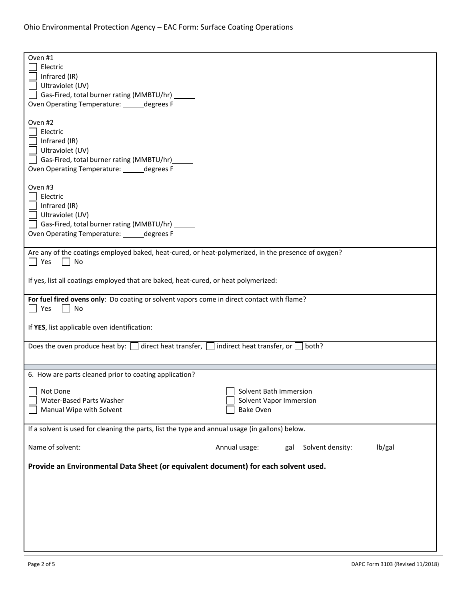| Oven #1                                                                                                                 |                                                         |  |  |
|-------------------------------------------------------------------------------------------------------------------------|---------------------------------------------------------|--|--|
| Electric<br>Infrared (IR)                                                                                               |                                                         |  |  |
| Ultraviolet (UV)                                                                                                        |                                                         |  |  |
| Gas-Fired, total burner rating (MMBTU/hr) ______                                                                        |                                                         |  |  |
| Oven Operating Temperature: ______ degrees F                                                                            |                                                         |  |  |
|                                                                                                                         |                                                         |  |  |
| Oven #2<br>Electric                                                                                                     |                                                         |  |  |
| Infrared (IR)                                                                                                           |                                                         |  |  |
| Ultraviolet (UV)                                                                                                        |                                                         |  |  |
| Gas-Fired, total burner rating (MMBTU/hr)                                                                               |                                                         |  |  |
| Oven Operating Temperature: ______ degrees F                                                                            |                                                         |  |  |
|                                                                                                                         |                                                         |  |  |
| Oven #3<br>$\Box$ Electric                                                                                              |                                                         |  |  |
| $\Box$ Infrared (IR)                                                                                                    |                                                         |  |  |
| $\Box$ Ultraviolet (UV)                                                                                                 |                                                         |  |  |
| Gas-Fired, total burner rating (MMBTU/hr)                                                                               |                                                         |  |  |
| Oven Operating Temperature: ______ degrees F                                                                            |                                                         |  |  |
|                                                                                                                         |                                                         |  |  |
| Are any of the coatings employed baked, heat-cured, or heat-polymerized, in the presence of oxygen?<br>$\Box$ Yes<br>No |                                                         |  |  |
|                                                                                                                         |                                                         |  |  |
| If yes, list all coatings employed that are baked, heat-cured, or heat polymerized:                                     |                                                         |  |  |
|                                                                                                                         |                                                         |  |  |
| For fuel fired ovens only: Do coating or solvent vapors come in direct contact with flame?<br>    Yes<br>No             |                                                         |  |  |
|                                                                                                                         |                                                         |  |  |
| If YES, list applicable oven identification:                                                                            |                                                         |  |  |
|                                                                                                                         |                                                         |  |  |
| Does the oven produce heat by: $\Box$ direct heat transfer, $\Box$ indirect heat transfer, or $\Box$ both?              |                                                         |  |  |
|                                                                                                                         |                                                         |  |  |
| 6. How are parts cleaned prior to coating application?                                                                  |                                                         |  |  |
|                                                                                                                         |                                                         |  |  |
| Not Done<br>Water-Based Parts Washer                                                                                    | Solvent Bath Immersion<br>Solvent Vapor Immersion       |  |  |
| Manual Wipe with Solvent                                                                                                | <b>Bake Oven</b>                                        |  |  |
|                                                                                                                         |                                                         |  |  |
| If a solvent is used for cleaning the parts, list the type and annual usage (in gallons) below.                         |                                                         |  |  |
|                                                                                                                         |                                                         |  |  |
| Name of solvent:                                                                                                        | Annual usage: ______ gal Solvent density: ______ lb/gal |  |  |
| Provide an Environmental Data Sheet (or equivalent document) for each solvent used.                                     |                                                         |  |  |
|                                                                                                                         |                                                         |  |  |
|                                                                                                                         |                                                         |  |  |
|                                                                                                                         |                                                         |  |  |
|                                                                                                                         |                                                         |  |  |
|                                                                                                                         |                                                         |  |  |
|                                                                                                                         |                                                         |  |  |
|                                                                                                                         |                                                         |  |  |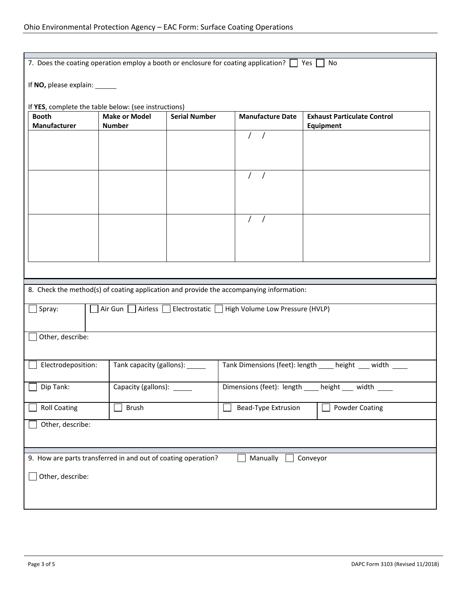| 7. Does the coating operation employ a booth or enclosure for coating application? $\Box$ Yes<br>No |                                       |                      |                                                                                         |                                                             |
|-----------------------------------------------------------------------------------------------------|---------------------------------------|----------------------|-----------------------------------------------------------------------------------------|-------------------------------------------------------------|
| If NO, please explain: ______                                                                       |                                       |                      |                                                                                         |                                                             |
| If YES, complete the table below: (see instructions)                                                |                                       |                      |                                                                                         |                                                             |
| <b>Booth</b><br>Manufacturer                                                                        | <b>Make or Model</b><br><b>Number</b> | <b>Serial Number</b> | <b>Manufacture Date</b>                                                                 | <b>Exhaust Particulate Control</b><br>Equipment             |
|                                                                                                     |                                       |                      | $\sqrt{2}$<br>$\prime$                                                                  |                                                             |
|                                                                                                     |                                       |                      |                                                                                         |                                                             |
|                                                                                                     |                                       |                      |                                                                                         |                                                             |
|                                                                                                     |                                       |                      |                                                                                         |                                                             |
|                                                                                                     |                                       |                      |                                                                                         |                                                             |
|                                                                                                     |                                       |                      |                                                                                         |                                                             |
|                                                                                                     |                                       |                      |                                                                                         |                                                             |
|                                                                                                     |                                       |                      |                                                                                         |                                                             |
|                                                                                                     |                                       |                      |                                                                                         |                                                             |
|                                                                                                     |                                       |                      |                                                                                         |                                                             |
|                                                                                                     |                                       |                      |                                                                                         |                                                             |
|                                                                                                     |                                       |                      |                                                                                         |                                                             |
|                                                                                                     |                                       |                      | 8. Check the method(s) of coating application and provide the accompanying information: |                                                             |
| Spray:                                                                                              |                                       |                      | ] Air Gun   Airless   Electrostatic   High Volume Low Pressure (HVLP)                   |                                                             |
|                                                                                                     |                                       |                      |                                                                                         |                                                             |
| Other, describe:                                                                                    |                                       |                      |                                                                                         |                                                             |
|                                                                                                     |                                       |                      |                                                                                         |                                                             |
| Electrodeposition:                                                                                  | Tank capacity (gallons): ______       |                      |                                                                                         | Tank Dimensions (feet): length _____ height ____ width ____ |
|                                                                                                     |                                       |                      |                                                                                         |                                                             |
| Dip Tank:                                                                                           | Capacity (gallons): _                 |                      | Dimensions (feet): length _____                                                         | height ___ width                                            |
| <b>Roll Coating</b>                                                                                 | <b>Brush</b>                          |                      | <b>Bead-Type Extrusion</b>                                                              | <b>Powder Coating</b>                                       |
| Other, describe:                                                                                    |                                       |                      |                                                                                         |                                                             |
|                                                                                                     |                                       |                      |                                                                                         |                                                             |
|                                                                                                     |                                       |                      |                                                                                         |                                                             |
| 9. How are parts transferred in and out of coating operation?<br>Manually<br>Conveyor               |                                       |                      |                                                                                         |                                                             |
| Other, describe:                                                                                    |                                       |                      |                                                                                         |                                                             |
|                                                                                                     |                                       |                      |                                                                                         |                                                             |
|                                                                                                     |                                       |                      |                                                                                         |                                                             |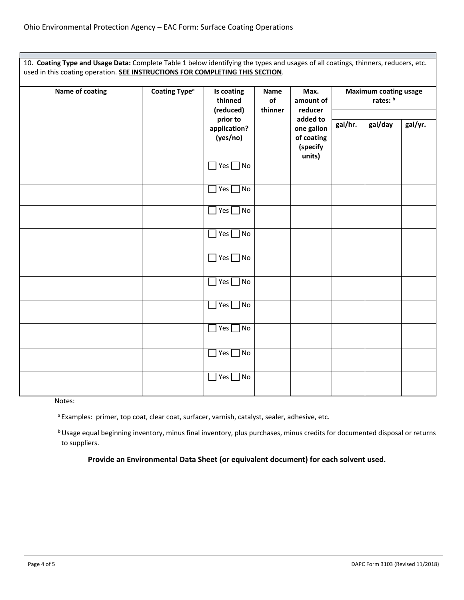10. **Coating Type and Usage Data:** Complete Table 1 below identifying the types and usages of all coatings, thinners, reducers, etc. used in this coating operation. **SEE INSTRUCTIONS FOR COMPLETING THIS SECTION**.

| <b>Coating Type<sup>a</sup></b><br>Name of coating | Is coating<br>thinned<br>(reduced) | <b>Name</b><br>of<br>thinner         | Max.<br>amount of<br>reducer                               | <b>Maximum coating usage</b><br>rates: b |         |         |  |
|----------------------------------------------------|------------------------------------|--------------------------------------|------------------------------------------------------------|------------------------------------------|---------|---------|--|
|                                                    |                                    | prior to<br>application?<br>(yes/no) | added to<br>one gallon<br>of coating<br>(specify<br>units) | gal/hr.                                  | gal/day | gal/yr. |  |
|                                                    |                                    | Yes $\Box$<br>No<br>$\mathcal{L}$    |                                                            |                                          |         |         |  |
|                                                    |                                    | No<br>Yes [                          |                                                            |                                          |         |         |  |
|                                                    |                                    | Yes <sup>[</sup><br>No               |                                                            |                                          |         |         |  |
|                                                    |                                    | No<br>Yes                            |                                                            |                                          |         |         |  |
|                                                    |                                    | Yes<br>No                            |                                                            |                                          |         |         |  |
|                                                    |                                    | Yes $\Box$<br>No                     |                                                            |                                          |         |         |  |
|                                                    |                                    | Yes $\Box$<br>No                     |                                                            |                                          |         |         |  |
|                                                    |                                    | Yes $\Box$<br>No                     |                                                            |                                          |         |         |  |
|                                                    |                                    | No<br>Yes                            |                                                            |                                          |         |         |  |
|                                                    |                                    | Yes $\Box$<br>No                     |                                                            |                                          |         |         |  |

Notes:

<sup>a</sup> Examples: primer, top coat, clear coat, surfacer, varnish, catalyst, sealer, adhesive, etc.

**b Usage equal beginning inventory, minus final inventory, plus purchases, minus credits for documented disposal or returns** to suppliers.

**Provide an Environmental Data Sheet (or equivalent document) for each solvent used.**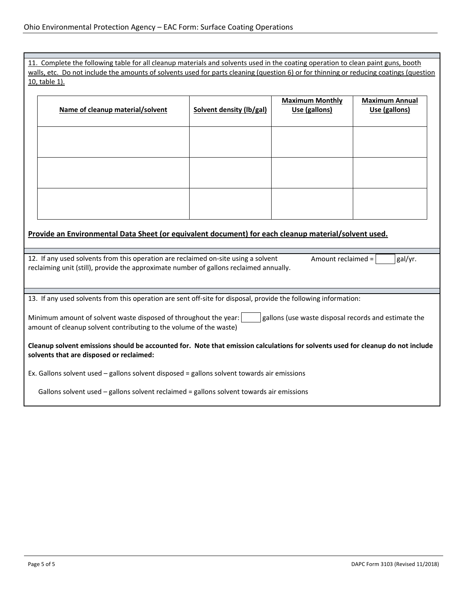11. Complete the following table for all cleanup materials and solvents used in the coating operation to clean paint guns, booth walls, etc. Do not include the amounts of solvents used for parts cleaning (question 6) or for thinning or reducing coatings (question 10, table 1).

| Name of cleanup material/solvent | Solvent density (lb/gal) | <b>Maximum Monthly</b><br>Use (gallons) | <b>Maximum Annual</b><br>Use (gallons) |
|----------------------------------|--------------------------|-----------------------------------------|----------------------------------------|
|                                  |                          |                                         |                                        |
|                                  |                          |                                         |                                        |
|                                  |                          |                                         |                                        |

# **Provide an Environmental Data Sheet (or equivalent document) for each cleanup material/solvent used.**

| 12. If any used solvents from this operation are reclaimed on-site using a solvent<br>gal/yr.<br>Amount reclaimed $=$<br>reclaiming unit (still), provide the approximate number of gallons reclaimed annually. |  |  |  |  |
|-----------------------------------------------------------------------------------------------------------------------------------------------------------------------------------------------------------------|--|--|--|--|
|                                                                                                                                                                                                                 |  |  |  |  |
|                                                                                                                                                                                                                 |  |  |  |  |
| 13. If any used solvents from this operation are sent off-site for disposal, provide the following information:                                                                                                 |  |  |  |  |
|                                                                                                                                                                                                                 |  |  |  |  |
| Minimum amount of solvent waste disposed of throughout the year:<br>gallons (use waste disposal records and estimate the<br>amount of cleanup solvent contributing to the volume of the waste)                  |  |  |  |  |
| Cleanup solvent emissions should be accounted for. Note that emission calculations for solvents used for cleanup do not include<br>solvents that are disposed or reclaimed:                                     |  |  |  |  |
| Ex. Gallons solvent used $-$ gallons solvent disposed $=$ gallons solvent towards air emissions                                                                                                                 |  |  |  |  |
| Gallons solvent used $-$ gallons solvent reclaimed $=$ gallons solvent towards air emissions                                                                                                                    |  |  |  |  |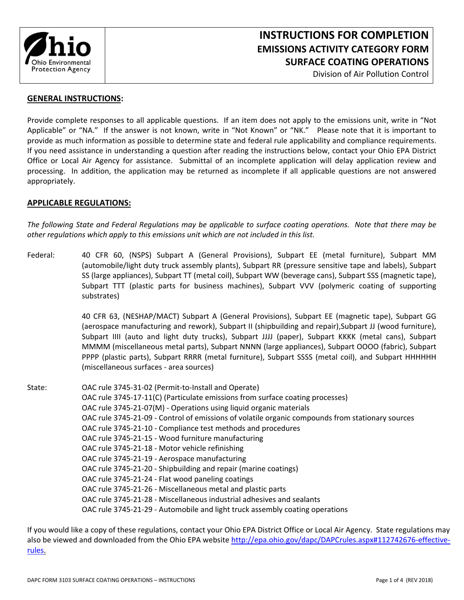

# **INSTRUCTIONS FOR COMPLETION EMISSIONS ACTIVITY CATEGORY FORM SURFACE COATING OPERATIONS**

Division of Air Pollution Control

#### **GENERAL INSTRUCTIONS:**

Provide complete responses to all applicable questions. If an item does not apply to the emissions unit, write in "Not Applicable" or "NA." If the answer is not known, write in "Not Known" or "NK." Please note that it is important to provide as much information as possible to determine state and federal rule applicability and compliance requirements. If you need assistance in understanding a question after reading the instructions below, contact your Ohio EPA District Office or Local Air Agency for assistance. Submittal of an incomplete application will delay application review and processing. In addition, the application may be returned as incomplete if all applicable questions are not answered appropriately.

## **APPLICABLE REGULATIONS:**

*The following State and Federal Regulations may be applicable to surface coating operations. Note that there may be other regulations which apply to this emissions unit which are not included in this list.* 

Federal: 40 CFR 60, (NSPS) Subpart A (General Provisions), Subpart EE (metal furniture), Subpart MM (automobile/light duty truck assembly plants), Subpart RR (pressure sensitive tape and labels), Subpart SS (large appliances), Subpart TT (metal coil), Subpart WW (beverage cans), Subpart SSS (magnetic tape), Subpart TTT (plastic parts for business machines), Subpart VVV (polymeric coating of supporting substrates)

> 40 CFR 63, (NESHAP/MACT) Subpart A (General Provisions), Subpart EE (magnetic tape), Subpart GG (aerospace manufacturing and rework), Subpart II (shipbuilding and repair),Subpart JJ (wood furniture), Subpart IIII (auto and light duty trucks), Subpart JJJJ (paper), Subpart KKKK (metal cans), Subpart MMMM (miscellaneous metal parts), Subpart NNNN (large appliances), Subpart OOOO (fabric), Subpart PPPP (plastic parts), Subpart RRRR (metal furniture), Subpart SSSS (metal coil), and Subpart HHHHHH (miscellaneous surfaces ‐ area sources)

State: **OAC rule 3745-31-02 (Permit-to-Install and Operate)** OAC rule 3745‐17‐11(C) (Particulate emissions from surface coating processes) OAC rule 3745‐21‐07(M) ‐ Operations using liquid organic materials OAC rule 3745‐21‐09 ‐ Control of emissions of volatile organic compounds from stationary sources OAC rule 3745‐21‐10 ‐ Compliance test methods and procedures OAC rule 3745‐21‐15 ‐ Wood furniture manufacturing OAC rule 3745‐21‐18 ‐ Motor vehicle refinishing OAC rule 3745‐21‐19 ‐ Aerospace manufacturing OAC rule 3745‐21‐20 ‐ Shipbuilding and repair (marine coatings) OAC rule 3745‐21‐24 ‐ Flat wood paneling coatings OAC rule 3745‐21‐26 ‐ Miscellaneous metal and plastic parts OAC rule 3745‐21‐28 ‐ Miscellaneous industrial adhesives and sealants OAC rule 3745‐21‐29 ‐ Automobile and light truck assembly coating operations

If you would like a copy of these regulations, contact your Ohio EPA District Office or Local Air Agency. State regulations may also be viewed and downloaded from the Ohio EPA website http://epa.ohio.gov/dapc/DAPCrules.aspx#112742676-effectiverules.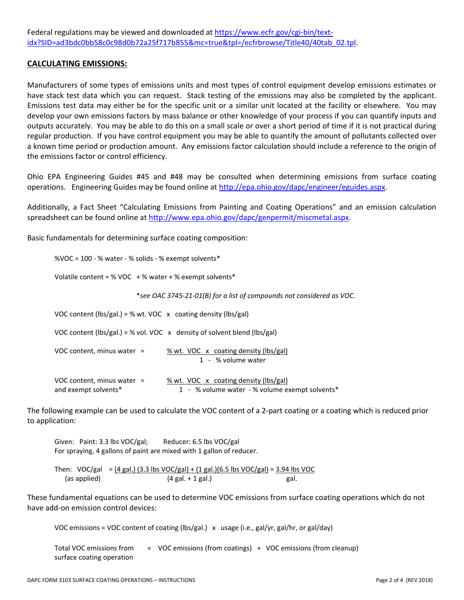### **CALCULATING EMISSIONS:**

Manufacturers of some types of emissions units and most types of control equipment develop emissions estimates or have stack test data which you can request. Stack testing of the emissions may also be completed by the applicant. Emissions test data may either be for the specific unit or a similar unit located at the facility or elsewhere. You may develop your own emissions factors by mass balance or other knowledge of your process if you can quantify inputs and outputs accurately. You may be able to do this on a small scale or over a short period of time if it is not practical during regular production. If you have control equipment you may be able to quantify the amount of pollutants collected over a known time period or production amount. Any emissions factor calculation should include a reference to the origin of the emissions factor or control efficiency.

Ohio EPA Engineering Guides #45 and #48 may be consulted when determining emissions from surface coating operations. Engineering Guides may be found online at http://epa.ohio.gov/dapc/engineer/eguides.aspx.

Additionally, a Fact Sheet "Calculating Emissions from Painting and Coating Operations" and an emission calculation spreadsheet can be found online at http://www.epa.ohio.gov/dapc/genpermit/miscmetal.aspx.

Basic fundamentals for determining surface coating composition:

%VOC = 100 ‐ % water ‐ % solids ‐ % exempt solvents\*

Volatile content = % VOC  $+$  % water + % exempt solvents\*

\**see OAC 3745‐21‐01(B) for a list of compounds not considered as VOC.*

VOC content (lbs/gal.) = % wt. VOC  $\bar{x}$  coating density (lbs/gal)

VOC content (lbs/gal.) = % vol. VOC  $\bar{x}$  density of solvent blend (lbs/gal)

| VOC content, minus water $=$ | % wt. VOC x coating density (lbs/gal) |
|------------------------------|---------------------------------------|
|                              | 1 - % volume water                    |
|                              |                                       |

| VOC content, minus water $=$ | % wt. VOC x coating density (lbs/gal)          |
|------------------------------|------------------------------------------------|
| and exempt solvents*         | 1 - % volume water - % volume exempt solvents* |

The following example can be used to calculate the VOC content of a 2‐part coating or a coating which is reduced prior to application:

Given: Paint: 3.3 lbs VOC/gal; Reducer: 6.5 lbs VOC/gal For spraying, 4 gallons of paint are mixed with 1 gallon of reducer.

Then:  $VOC/gal = (4 gal.)$  (3.3 lbs  $VOC/gal$ ) + (1 gal.)(6.5 lbs  $VOC/gal$ ) = 3.94 lbs VOC (as applied) (4 gal. + 1 gal.) gal.

These fundamental equations can be used to determine VOC emissions from surface coating operations which do not have add-on emission control devices:

VOC emissions = VOC content of coating (lbs/gal.) x usage (i.e., gal/yr, gal/hr, or gal/day)

 Total VOC emissions from = VOC emissions (from coatings) + VOC emissions (from cleanup) surface coating operation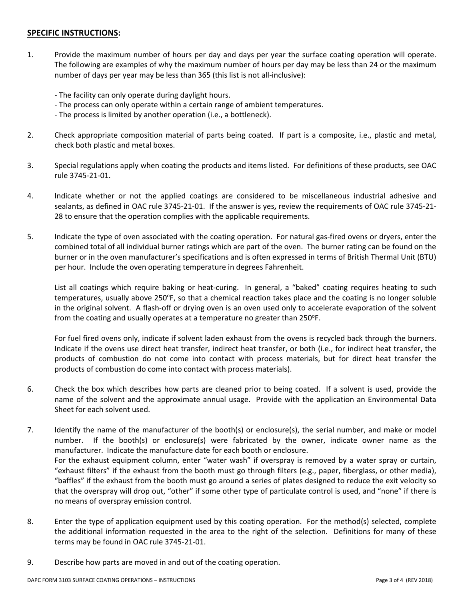## **SPECIFIC INSTRUCTIONS:**

- 1. Provide the maximum number of hours per day and days per year the surface coating operation will operate. The following are examples of why the maximum number of hours per day may be less than 24 or the maximum number of days per year may be less than 365 (this list is not all‐inclusive):
	- ‐ The facility can only operate during daylight hours.
	- ‐ The process can only operate within a certain range of ambient temperatures.
	- ‐ The process is limited by another operation (i.e., a bottleneck).
- 2. Check appropriate composition material of parts being coated. If part is a composite, i.e., plastic and metal, check both plastic and metal boxes.
- 3. Special regulations apply when coating the products and items listed. For definitions of these products, see OAC rule 3745‐21‐01.
- 4. Indicate whether or not the applied coatings are considered to be miscellaneous industrial adhesive and sealants, as defined in OAC rule 3745‐21‐01. If the answer is yes**,** review the requirements of OAC rule 3745‐21‐ 28 to ensure that the operation complies with the applicable requirements.
- 5. Indicate the type of oven associated with the coating operation. For natural gas-fired ovens or dryers, enter the combined total of all individual burner ratings which are part of the oven. The burner rating can be found on the burner or in the oven manufacturer's specifications and is often expressed in terms of British Thermal Unit (BTU) per hour. Include the oven operating temperature in degrees Fahrenheit.

List all coatings which require baking or heat-curing. In general, a "baked" coating requires heating to such temperatures, usually above 250°F, so that a chemical reaction takes place and the coating is no longer soluble in the original solvent. A flash‐off or drying oven is an oven used only to accelerate evaporation of the solvent from the coating and usually operates at a temperature no greater than  $250^{\circ}$ F.

For fuel fired ovens only, indicate if solvent laden exhaust from the ovens is recycled back through the burners. Indicate if the ovens use direct heat transfer, indirect heat transfer, or both (i.e., for indirect heat transfer, the products of combustion do not come into contact with process materials, but for direct heat transfer the products of combustion do come into contact with process materials).

- 6. Check the box which describes how parts are cleaned prior to being coated. If a solvent is used, provide the name of the solvent and the approximate annual usage. Provide with the application an Environmental Data Sheet for each solvent used.
- 7. Identify the name of the manufacturer of the booth(s) or enclosure(s), the serial number, and make or model number. If the booth(s) or enclosure(s) were fabricated by the owner, indicate owner name as the manufacturer. Indicate the manufacture date for each booth or enclosure. For the exhaust equipment column, enter "water wash" if overspray is removed by a water spray or curtain, "exhaust filters" if the exhaust from the booth must go through filters (e.g., paper, fiberglass, or other media), "baffles" if the exhaust from the booth must go around a series of plates designed to reduce the exit velocity so that the overspray will drop out, "other" if some other type of particulate control is used, and "none" if there is no means of overspray emission control.
- 8. Enter the type of application equipment used by this coating operation. For the method(s) selected, complete the additional information requested in the area to the right of the selection. Definitions for many of these terms may be found in OAC rule 3745‐21‐01.
- 9. Describe how parts are moved in and out of the coating operation.